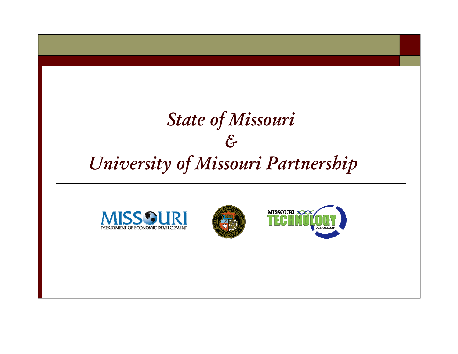## *State of Missouri & University of Missouri Partnership*





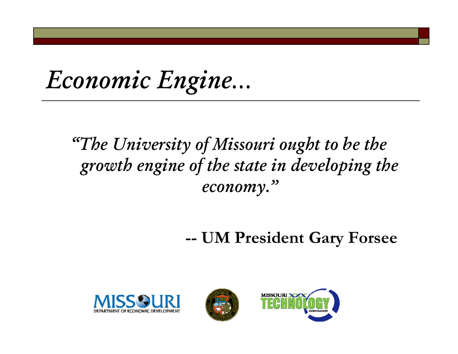*Economic Engine…*

## *"The University of Missouri ought to be the growth engine of the state in developing the economy."*

#### **-- UM President Gary Forsee**





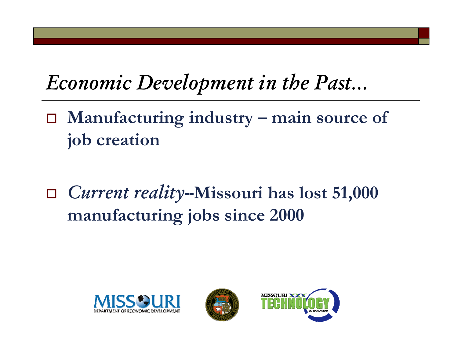## *Economic Development in the Past…*

- **Manufacturing industry – main source of job creation**
- $\Box$  *Current reality--***Missouri has lost 51 ,000 manufacturing jobs since 2000**





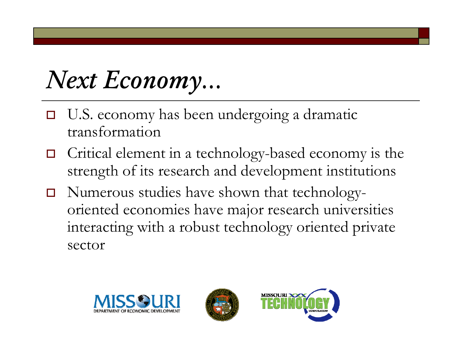*Next Economy…*

- $\Box$  $\Box$  U.S. economy has been undergoing a dramatic transformation
- $\Box$  $\Box$  Critical element in a technology-based economy is the strength of its research and development institutions
- $\Box$  $\Box$  Numerous studies have shown that technology oriented economies have major research universities interacting with a robust technology oriented private sector





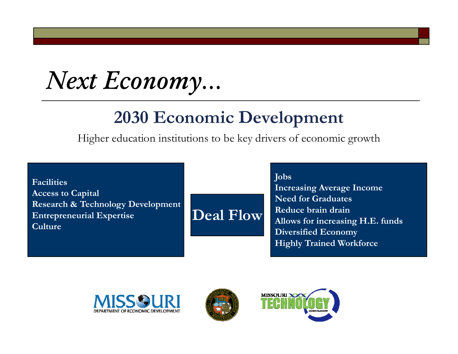*Next Economy…*

## **2030 Economic Development**

Higher education institutions to be key drivers of economic growth

 $\sum_{i=1}^{\infty}$ 

**Deal Flow**

**FacilitiesAccess to Capital Research & Technology Development Entrepreneurial Expertise Culture**

**Jobs**

**Increasing Average Income Need for GraduatesReduce brain drainAllows for increasing H.E. funds Diversified Economy Highly Trained Workforce**





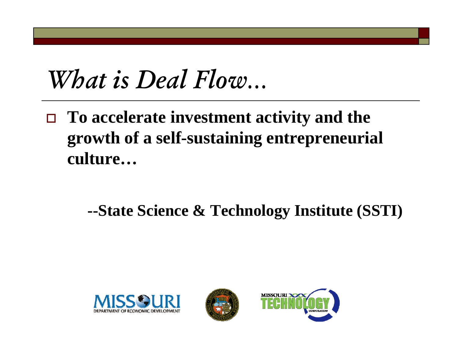# *What is Deal Flow…*

 **To accelerate investment activity and the growth of a self-sustaining entrepreneurial culture…**

## **--State Science & Technology Institute (SSTI)**





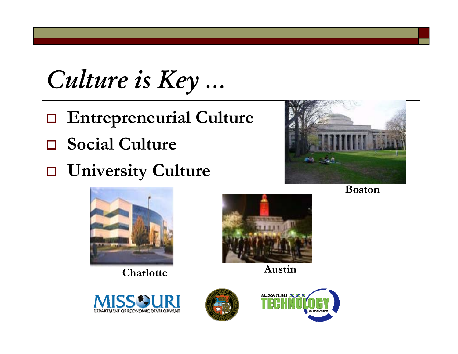*Culture is Key …*

- **Entrepreneurial Culture**
- **Social Culture**
- **University Culture**







**Charlotte**



**Austin**





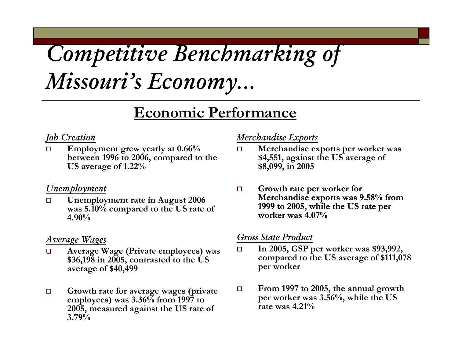# *Competitive Benchmarking of Missouri's Economy…*

## $\bf E$ **conomic Performance**

## *Job Creation*

 $\Box$  **Employment grew yearly at 0.66% 66 d between 1996 to 2006, compared to the US average of 1.22%**

#### *Unemployment*

 $\Box$  **Unemployment rate in August 2006 was 5.10% compared to the US rate of 4.90%**

### *Average Wages*

- $\Box$  **Average Wage (Private employees) was \$36,198 in 2005, contrasted to the US average of \$40,499**
- $\Box$ **employees) was 3.36% from 1997 to 2005, measured against the US rate of 3.79%**

## *Merchandise Exports*

- $\Box$  **Merchandise exports per worker was S** average of **\$4,551, against the US average of\$8,099, in 2005**
- $\Box$  **Growth rate per worker for Merchandise exports was 9 58% from 9.58%1999 to 2005, while the US rate per worker was 4.07%**

## *Gross State Product g g*

- $\Box$  **In 2005, GSP per worker was \$93,992, compared to the US average of \$111,078 per worker**
- □ Growth rate for average wages (private  $\Box$  From 1997 to 2005, the annual growth From 1997 to 2005, the annual growth **per worker was 3.56%, while the US rate was 4.21%**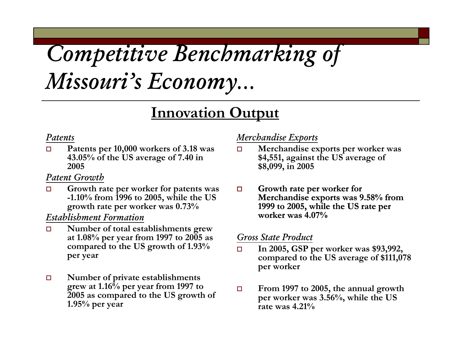# *Competitive Benchmarking of Missouri's Economy…*

## **I ti O t t Innovation u tpu**

### *Patents*

 $\Box$  **Patents per 10,000 workers of 3.18 was %f S f 43.05 % o f the U S average o f 7.40 in 2005**

### *Patent Growth*

 $\Box$  **Growth rate per worker for patents was -1 10% from 1996 to 2005 while the US 1.10%growth rate per worker was 0.73%**

### *Establishment Formation*

- $\Box$  **Number of total establishments grew at 1.08% per year from 1997 to 2005 as d h US h f 1 93% compare d to t he US growt h o** compared to the US growth of 1.93%<br>per year
- $\Box$  **Number of private establishments grew at 1.16% per year from 1997 to From <sup>1997</sup> to <sup>2005</sup> the annual growt<sup>h</sup> 2005 as compared to the US growth of 1.95% per year**

## *Merchandise Exports*

- $\Box$  **Merchandise exports per worker was S f \$4,551, against the U S average o \$8,099, in 2005**
- $\Box$  **Growth rate per worker for 2005, Merchandise exports was 9 58% from 9.58%**. . . . . . . . **1999 to 2005, while the US rate per worker was 4.07%**

## *Gross State Product*

- $\Box$  **In 2005, GSP per worker was \$93,992, compared to the US average of \$111,078 per worker**
- From 1997 to 2005, the annual growth **per worker was 3.56%, while the US rate was 4.21%**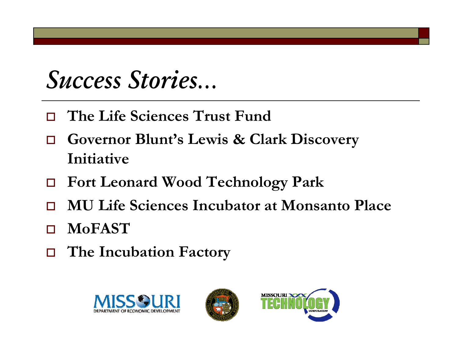# *Success Stories…*

- **The Life Sciences Trust Fund**
- $\Box$  **Governor Blunt's Lewis & Clark Discovery I ii i nitiative**
- **Fort Leonard Wood Technology Park**
- $\Box$ **MU Life Sciences Incubator at Monsanto Place**
- $\Box$ **MoFAST**
- **The Incubation Factory**





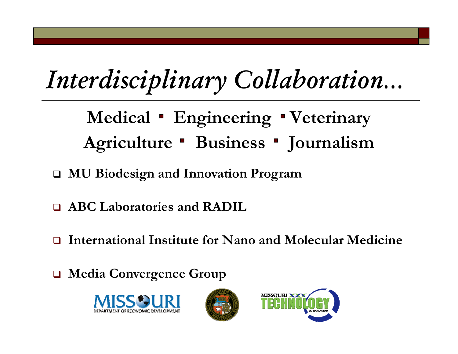# *Interdisciplinary Collaboration…*

Medical **Engineering Veterinary** Agriculture **Business Journalism** 

- $\Box$ **MU Biodesign and Innovation Program**
- **ABC Laboratories and RADIL**
- $\Box$ **International Institute for Nano and Molecular Medicine for and**
- $\Box$ **Media Convergence Group**





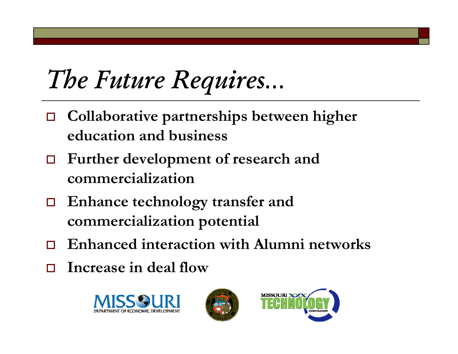# *The Future Requires…*

- $\Box$  **Collaborative partnerships between higher education and business**
- $\Box$  Further development of research and **commercialization**
- $\Box$  $\Box$  Enhance technology transfer and **commercialization potential**
- $\Box$ **Enhanced interaction with Alumni networks networks**
- $\Box$ **Increase in deal flow**





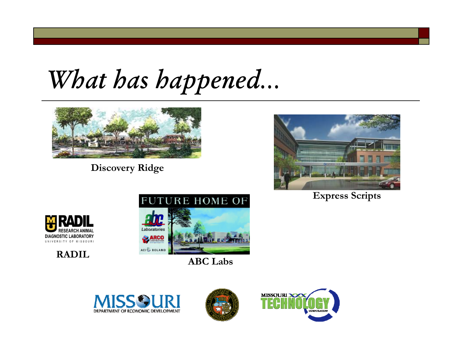*What has happened…*



**Discovery Ridge**



 $\bf{Express}~\bf{Scripts}$ 



**RADIL**



**ABC Labs**





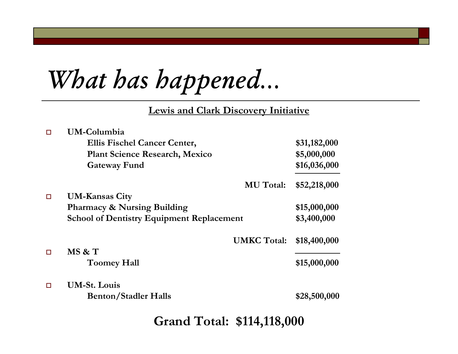*What has happened…*

**Lewis and Clark Discovery Initiative**

| UM-Columbia                                      |              |
|--------------------------------------------------|--------------|
| <b>Ellis Fischel Cancer Center,</b>              | \$31,182,000 |
| <b>Plant Science Research, Mexico</b>            | \$5,000,000  |
| <b>Gateway Fund</b>                              | \$16,036,000 |
| <b>MU</b> Total:                                 | \$52,218,000 |
| <b>UM-Kansas City</b>                            |              |
| <b>Pharmacy &amp; Nursing Building</b>           | \$15,000,000 |
| <b>School of Dentistry Equipment Replacement</b> | \$3,400,000  |
| <b>UMKC Total:</b>                               | \$18,400,000 |
| MS & T                                           |              |
| <b>Toomey Hall</b>                               | \$15,000,000 |
| <b>UM-St. Louis</b>                              |              |
| <b>Benton/Stadler Halls</b>                      | \$28,500,000 |
|                                                  |              |

**Grand Total: \$114,118,000**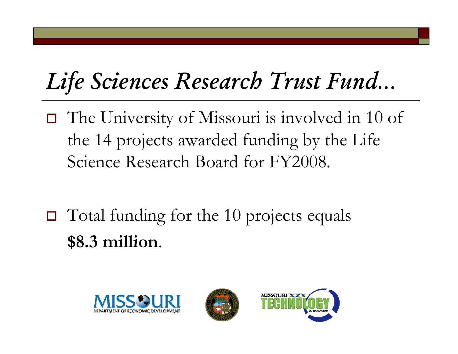# *Life Sciences Research Trust Fund…*

- The University of Missouri is involved in 10 of the 14 projects awarded funding by the Life Science Research Board for FY2008.
- $\Box$  Total funding for the 10 projects equals **\$8 3 million .** .





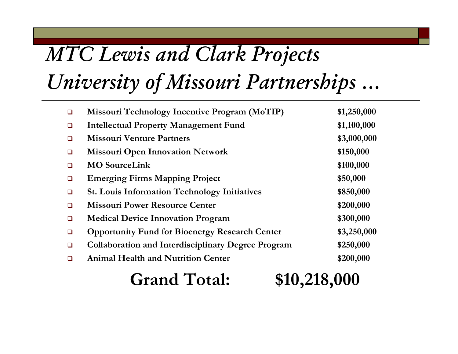# *MTC Lewis and Clark Projects*

*University of Missouri Partnerships …*

| $\Box$ | Missouri Technology Incentive Program (MoTIP)             | \$1,250,000 |
|--------|-----------------------------------------------------------|-------------|
| $\Box$ | <b>Intellectual Property Management Fund</b>              | \$1,100,000 |
| $\Box$ | <b>Missouri Venture Partners</b>                          | \$3,000,000 |
| $\Box$ | <b>Missouri Open Innovation Network</b>                   | \$150,000   |
| $\Box$ | <b>MO</b> SourceLink                                      | \$100,000   |
| ❏      | <b>Emerging Firms Mapping Project</b>                     | \$50,000    |
| $\Box$ | <b>St. Louis Information Technology Initiatives</b>       | \$850,000   |
| $\Box$ | <b>Missouri Power Resource Center</b>                     | \$200,000   |
| $\Box$ | <b>Medical Device Innovation Program</b>                  | \$300,000   |
| $\Box$ | <b>Opportunity Fund for Bioenergy Research Center</b>     | \$3,250,000 |
| $\Box$ | <b>Collaboration and Interdisciplinary Degree Program</b> | \$250,000   |
| $\Box$ | <b>Animal Health and Nutrition Center</b>                 | \$200,000   |
|        |                                                           |             |

#### **Grand Total: , , 218 ,000**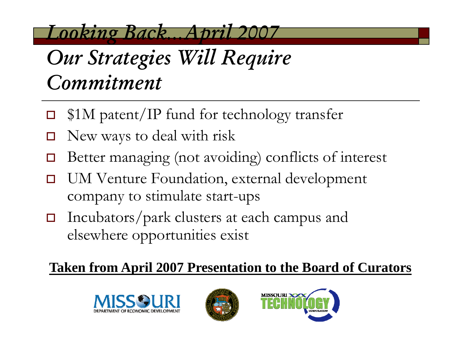*Looking Back…April 2007*

# *Our Strategies Will Require Commitment*

- $\Box$ □ \$1M patent/IP fund for technology transfer
- $\Box$ New ways to deal with risk
- $\Box$  $\Box$  Better managing (not avoiding) conflicts of interest
- $\Box$  UM Venture Foundation, external development company to stimulate start-ups
- $\Box$  Incubators/park clusters at each campus and elsewhere opportunities exis t

## **Taken from April 2007 Presentation to the Board of Curators**